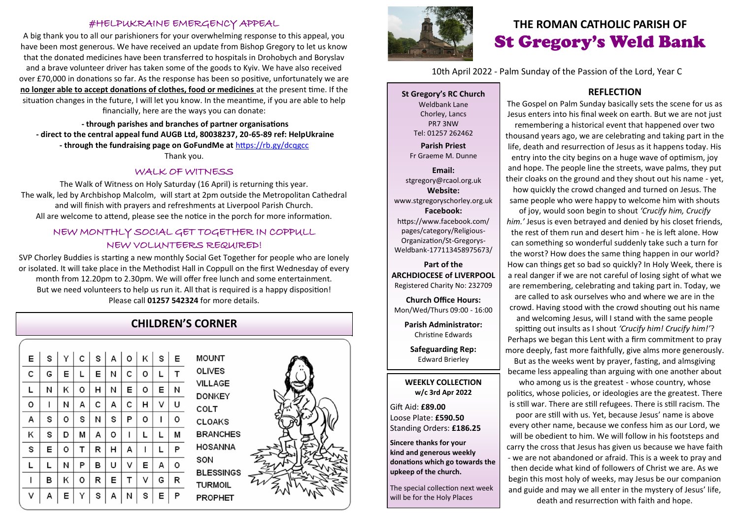### #HELPUKRAINE EMERGENCY APPEAL

A big thank you to all our parishioners for your overwhelming response to this appeal, you have been most generous. We have received an update from Bishop Gregory to let us know that the donated medicines have been transferred to hospitals in Drohobych and Boryslav and a brave volunteer driver has taken some of the goods to Kyiv. We have also received over £70,000 in donations so far. As the response has been so positive, unfortunately we are **no longer able to accept donations of clothes, food or medicines** at the present time. If the situation changes in the future, I will let you know. In the meantime, if you are able to help financially, here are the ways you can donate:

**- through parishes and branches of partner organisations - direct to the central appeal fund AUGB Ltd, 80038237, 20-65-89 ref: HelpUkraine - through the fundraising page on GoFundMe at** <https://rb.gy/dcqgcc> Thank you.

#### WALK OF WITNESS

The Walk of Witness on Holy Saturday (16 April) is returning this year. The walk, led by Archbishop Malcolm, will start at 2pm outside the Metropolitan Cathedral and will finish with prayers and refreshments at Liverpool Parish Church. All are welcome to attend, please see the notice in the porch for more information.

## NEW MONTHLY SOCIAL GET TOGETHER IN COPPULL NEW VOLUNTEERS REQUIRED!

SVP Chorley Buddies is starting a new monthly Social Get Together for people who are lonely or isolated. It will take place in the Methodist Hall in Coppull on the first Wednesday of every month from 12.20pm to 2.30pm. We will offer free lunch and some entertainment. But we need volunteers to help us run it. All that is required is a happy disposition! Please call **01257 542324** for more details.

## **CHILDREN'S CORNER**

| E | S | Υ | $\mathsf{C}$ |   | S   A   O |   | $\mathsf{K}$ | s | E |
|---|---|---|--------------|---|-----------|---|--------------|---|---|
| C | G | Е | г            | Е | Ν         | с | о            | L | т |
| Г | Ν | Κ | о            | н | Ν         | E | о            | E | Ν |
| o | ı | Ν | А            | с | А         | с | н            | V | U |
| А | S | o | S            | Ν | s         | P | о            | ı | 0 |
| Κ | S | D | M            | А | о         | ı | L            | L | м |
| S | Е | о | т            | R | н         | А | ı            | г | P |
| г | L | Ν | P            | в | η         | V | E            | А | o |
| ı | в | Κ | О            | R | Е         | т | V            | G | R |
| ٧ | А | Е | Υ            | S | А         | Ν | S            | E | P |

**MOUNT OLIVES VILLAGE DONKEY** COLT CLOAKS **BRANCHES HOSANNA** SON **BLESSINGS TURMOIL PROPHET** 





# **THE ROMAN CATHOLIC PARISH OF** St Gregory's Weld Bank

10th April 2022 - Palm Sunday of the Passion of the Lord, Year C

**St Gregory's RC Church** Weldbank Lane Chorley, Lancs PR7 3NW Tel: 01257 262462

**Parish Priest** Fr Graeme M. Dunne

**Email:** stgregory@rcaol.org.uk **Website:** www.stgregoryschorley.org.uk **Facebook:** https://www.facebook.com/ pages/category/Religious-Organization/St-Gregorys-Weldbank-177113458975673/

#### **Part of the ARCHDIOCESE of LIVERPOOL**  Registered Charity No: 232709

**Church Office Hours:** Mon/Wed/Thurs 09:00 - 16:00

**Parish Administrator:** Christine Edwards

**Safeguarding Rep:** Edward Brierley

#### **WEEKLY COLLECTION w/c 3rd Apr 2022**

Gift Aid: **£89.00** Loose Plate: **£590.50** Standing Orders: **£186.25**

**Sincere thanks for your kind and generous weekly donations which go towards the upkeep of the church.** 

The special collection next week will be for the Holy Places

## **REFLECTION**

The Gospel on Palm Sunday basically sets the scene for us as Jesus enters into his final week on earth. But we are not just remembering a historical event that happened over two thousand years ago, we are celebrating and taking part in the life, death and resurrection of Jesus as it happens today. His entry into the city begins on a huge wave of optimism, joy and hope. The people line the streets, wave palms, they put their cloaks on the ground and they shout out his name - yet, how quickly the crowd changed and turned on Jesus. The same people who were happy to welcome him with shouts

of joy, would soon begin to shout *'Crucify him, Crucify him.'* Jesus is even betrayed and denied by his closet friends, the rest of them run and desert him - he is left alone. How can something so wonderful suddenly take such a turn for the worst? How does the same thing happen in our world? How can things get so bad so quickly? In Holy Week, there is a real danger if we are not careful of losing sight of what we are remembering, celebrating and taking part in. Today, we are called to ask ourselves who and where we are in the crowd. Having stood with the crowd shouting out his name and welcoming Jesus, will I stand with the same people spitting out insults as I shout *'Crucify him! Crucify him!'*? Perhaps we began this Lent with a firm commitment to pray more deeply, fast more faithfully, give alms more generously. But as the weeks went by prayer, fasting, and almsgiving

became less appealing than arguing with one another about who among us is the greatest - whose country, whose

politics, whose policies, or ideologies are the greatest. There is still war. There are still refugees. There is still racism. The

poor are still with us. Yet, because Jesus' name is above every other name, because we confess him as our Lord, we will be obedient to him. We will follow in his footsteps and carry the cross that Jesus has given us because we have faith - we are not abandoned or afraid. This is a week to pray and then decide what kind of followers of Christ we are. As we begin this most holy of weeks, may Jesus be our companion and guide and may we all enter in the mystery of Jesus' life, death and resurrection with faith and hope.